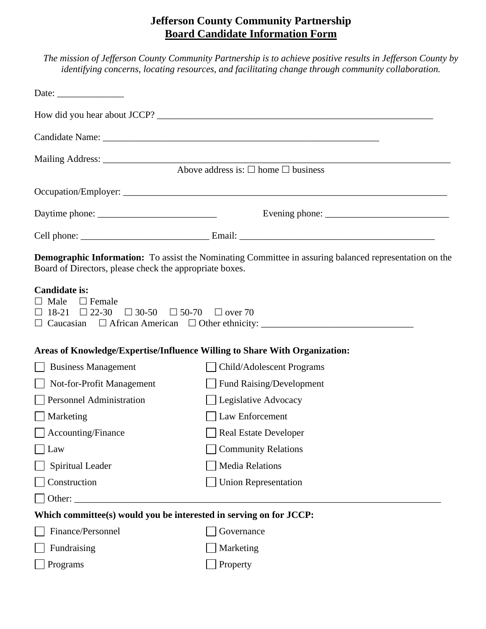## **Jefferson County Community Partnership Board Candidate Information Form**

| The mission of Jefferson County Community Partnership is to achieve positive results in Jefferson County by                                                                                                                                                                                                                                                                                                                                       |
|---------------------------------------------------------------------------------------------------------------------------------------------------------------------------------------------------------------------------------------------------------------------------------------------------------------------------------------------------------------------------------------------------------------------------------------------------|
| <i>identifying concerns, locating resources, and facilitating change through community collaboration.</i>                                                                                                                                                                                                                                                                                                                                         |
|                                                                                                                                                                                                                                                                                                                                                                                                                                                   |
| Date: $\frac{1}{\sqrt{1-\frac{1}{2}} \cdot \frac{1}{\sqrt{1-\frac{1}{2}} \cdot \frac{1}{\sqrt{1-\frac{1}{2}} \cdot \frac{1}{\sqrt{1-\frac{1}{2}} \cdot \frac{1}{\sqrt{1-\frac{1}{2}} \cdot \frac{1}{\sqrt{1-\frac{1}{2}} \cdot \frac{1}{\sqrt{1-\frac{1}{2}} \cdot \frac{1}{\sqrt{1-\frac{1}{2}} \cdot \frac{1}{\sqrt{1-\frac{1}{2}} \cdot \frac{1}{\sqrt{1-\frac{1}{2}} \cdot \frac{1}{\sqrt{1-\frac{1}{2}} \cdot \frac{1}{\sqrt{1-\frac{1}{2}}$ |
|                                                                                                                                                                                                                                                                                                                                                                                                                                                   |
| How did you hear about JCCP?                                                                                                                                                                                                                                                                                                                                                                                                                      |
|                                                                                                                                                                                                                                                                                                                                                                                                                                                   |

Candidate Name: \_\_\_\_\_\_\_\_\_\_\_\_\_\_\_\_\_\_\_\_\_\_\_\_\_\_\_\_\_\_\_\_\_\_\_\_\_\_\_\_\_\_\_\_\_\_\_\_\_\_\_\_\_\_\_\_\_\_

Mailing Address: \_\_\_\_\_\_\_\_\_\_\_\_\_\_\_\_\_\_\_\_\_\_\_\_\_\_\_\_\_\_\_\_\_\_\_\_\_\_\_\_\_\_\_\_\_\_\_\_\_\_\_\_\_\_\_\_\_\_\_\_\_\_\_\_\_\_\_\_\_\_\_\_\_

Above address is:  $\Box$  home  $\Box$  business

Occupation/Employer: \_\_\_\_\_\_\_\_\_\_\_\_\_\_\_\_\_\_\_\_\_\_\_\_\_\_\_\_\_\_\_\_\_\_\_\_\_\_\_\_\_\_\_\_\_\_\_\_\_\_\_\_\_\_\_\_\_\_\_\_\_\_\_\_\_\_\_\_

Daytime phone: \_\_\_\_\_\_\_\_\_\_\_\_\_\_\_\_\_\_\_\_\_\_\_\_\_ Evening phone: \_\_\_\_\_\_\_\_\_\_\_\_\_\_\_\_\_\_\_\_\_\_\_\_\_\_

Cell phone: \_\_\_\_\_\_\_\_\_\_\_\_\_\_\_\_\_\_\_\_\_\_\_\_\_\_\_ Email: \_\_\_\_\_\_\_\_\_\_\_\_\_\_\_\_\_\_\_\_\_\_\_\_\_\_\_\_\_\_\_\_\_\_\_\_\_\_\_\_\_

**Demographic Information:** To assist the Nominating Committee in assuring balanced representation on the Board of Directors, please check the appropriate boxes.

## **Candidate is:**

| Male<br>Female<br>$\Box$ 22-30<br>18-21<br>$\Box$ 30-50 $\Box$ 50-70<br>Caucasian $\Box$ African American $\Box$ Other ethnicity: ____ | $\Box$ over 70                  |
|----------------------------------------------------------------------------------------------------------------------------------------|---------------------------------|
| Areas of Knowledge/Expertise/Influence Willing to Share With Organization:                                                             |                                 |
| <b>Business Management</b>                                                                                                             | Child/Adolescent Programs       |
| Not-for-Profit Management                                                                                                              | <b>Fund Raising/Development</b> |
| <b>Personnel Administration</b>                                                                                                        | Legislative Advocacy            |
| Marketing                                                                                                                              | Law Enforcement                 |
| $\Box$ Accounting/Finance                                                                                                              | <b>Real Estate Developer</b>    |
| Law                                                                                                                                    | <b>Community Relations</b>      |
| Spiritual Leader                                                                                                                       | <b>Media Relations</b>          |
| Construction                                                                                                                           | <b>Union Representation</b>     |
| Other:                                                                                                                                 |                                 |

## **Which committee(s) would you be interested in serving on for JCCP:**

| Finance/Personnel  | Governance       |
|--------------------|------------------|
| $\Box$ Fundraising | $\Box$ Marketing |
| $\vert$ Programs   | $\Box$ Property  |